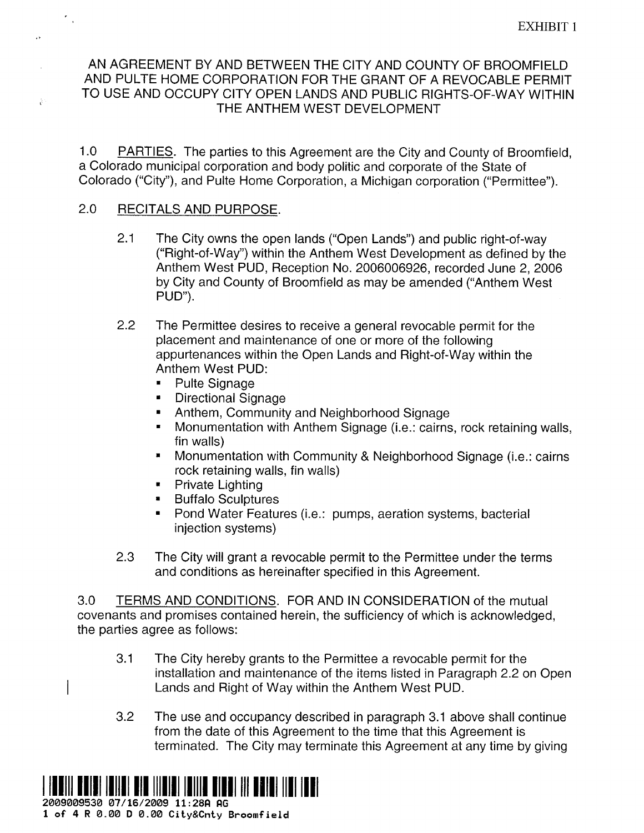## AN AGREEMENT BY AND BETWEEN THE CITY AND COUNTY OF BROOMFIELD AND PULTE HOME CORPORATION FOR THE GRANT OF A REVOCABLE PERMIT TO USE AND OCCUPY CITY OPEN LANDS AND PUBLIC RIGHTS-OF-WAY WITHIN THE ANTHEM WEST DEVELOPMENT

1.0 PARTIES. The parties to this Agreement are the City and County of Broomfield, a Colorado municipal corporation and body politic and corporate of the State of Colorado ("City"), and Pulte Home Corporation, a Michigan corporation ("Permittee") .

## 2 .0 RECITALS AND PURPOSE.

 $\frac{1}{\sqrt{2}}$ 

 $\epsilon$ 

 $\hat{\vec{c}}$ 

- 2 .1 The City owns the open lands ("Open Lands") and public right-of-way ("Right-of-Way") within the Anthem West Development as defined by the Anthem West PUD, Reception No. 2006006926, recorded June 2, 2006 by City and County of Broomfield as may be amended ("Anthem West PUD").
- 2.2 The Permittee desires to receive a general revocable permit for the placement and maintenance of one or more of the following appurtenances within the Open Lands and Right-of-Way within the Anthem West PUD:
	- Pulte Signage
	- Directional Signage
	- Anthem, Community and Neighborhood Signage
	- Monumentation with Anthem Signage (i.e.: cairns, rock retaining walls, fin walls)
	- Monumentation with Community & Neighborhood Signage (i.e.: cairns rock retaining walls, fin walls)
	- Private Lighting
	- Buffalo Sculptures
	- Pond Water Features (i.e.: pumps, aeration systems, bacterial injection systems)
- 2.3 The City will grant a revocable permit to the Permittee under the terms and conditions as hereinafter specified in this Agreement.

3.0 TERMS AND CONDITIONS. FOR AND IN CONSIDERATION of the mutual covenants and promises contained herein, the sufficiency of which is acknowledged, the parties agree as follows :

- 3 .1 The City hereby grants to the Permittee a revocable permit for the installation and maintenance of the items listed in Paragraph 2.2 on Open Lands and Right of Way within the Anthem West PUD.
- 3.2 The use and occupancy described in paragraph 3 .1 above shall continue from the date of this Agreement to the time that this Agreement is terminated. The City may terminate this Agreement at any time by giving



**1 of 4 R 0 .00 D 0 .00 City&Cnty Broomfield**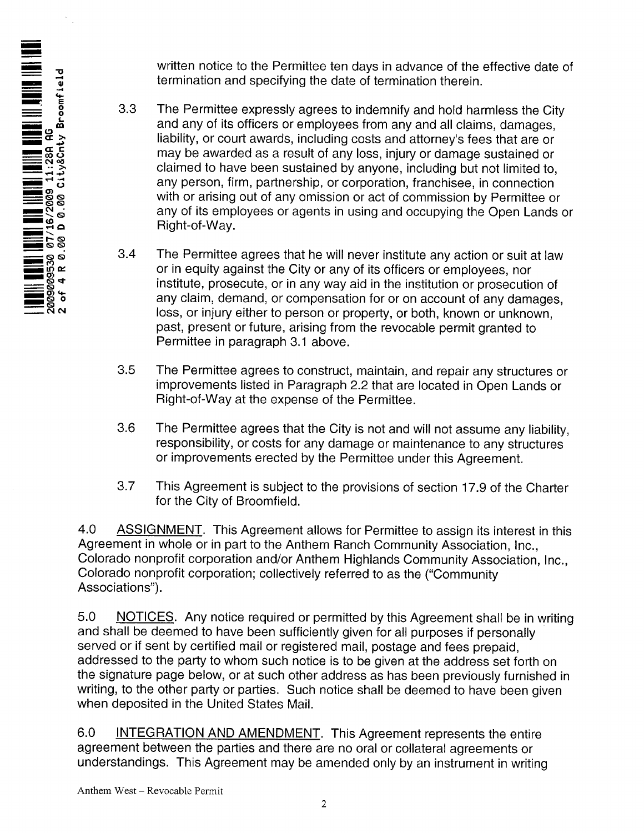- - - -

written notice to the Permittee ten days in advance of the effective date of termination and specifying the date of termination therein.

- 3.3 The Permittee expressly agrees to indemnify and hold harmless the City and any of its officers or employees from any and all claims, damages, liability, or court awards, including costs and attorney's fees that are or may be awarded as a result of any loss, injury or damage sustained or claimed to have been sustained by anyone, including but not limited to, any person, firm, partnership, or corporation, franchisee, in connection with or arising out of any omission or act of commission by Permittee or any of its employees or agents in using and occupying the Open Lands or Right-of-Way.
- 3.4 The Permittee agrees that he will never institute any action or suit at law or in equity against the City or any of its officers or employees, nor institute, prosecute, or in any way aid in the institution or prosecution of any claim, demand, or compensation for or on account of any damages, loss, or injury either to person or property, or both, known or unknown, past, present or future, arising from the revocable permit granted to Permittee in paragraph 3.1 above.
- 3 .5 The Permittee agrees to construct, maintain, and repair any structures or improvements listed in Paragraph 2.2 that are located in Open Lands or Right-of-Way at the expense of the Permittee .
- 3 .6 The Permiftee agrees that the City is not and will not assume any liability, responsibility, or costs for any damage or maintenance to any structures or improvements erected by the Permittee under this Agreement.
- 3 .7 This Agreement is subject to the provisions of section 17 .9 of the Charter for the City of Broomfield.

4.0 ASSIGNMENT. This Agreement allows for Permittee to assign its interest in this Agreement in whole or in part to the Anthem Ranch Community Association, Inc.. Colorado nonprofit corporation and/or Anthem Highlands Community Association, Inc., Colorado nonprofit corporation; collectively referred to as the ("Community Associations").

5.0 **NOTICES**. Any notice required or permitted by this Agreement shall be in writing and shall be deemed to have been sufficiently given for all purposes if personally served or if sent by certified mail or registered mail, postage and fees prepaid, addressed to the party to whom such notice is to be given at the address set forth on the signature page below, or at such other address as has been previously furnished in writing, to the other party or parties. Such notice shall be deemed to have been given when deposited in the United States Mail.

6.0 INTEGRATION AND AMENDMENT. This Agreement represents the entire agreement between the parties and there are no oral or collateral agreements or understandings. This Agreement may be amended only by an instrument in writing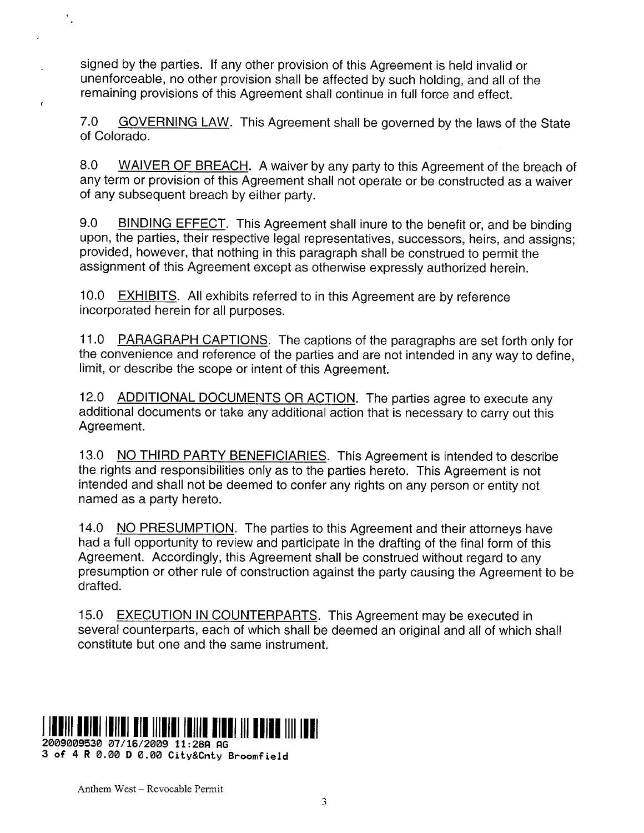signed by the parties. If any other provision of this Agreement is held invalid or unenforceable, no other provision shall be affected by such holding, and all of the remaining provisions of this Agreement shall continue in full force and effect.

7.0 GOVERNING LAW. This Agreement shall be governed by the laws of the State of Colorado .

8.0 WAIVER OF BREACH. A waiver by any party to this Agreement of the breach of any term or provision of this Agreement shall not operate or be constructed as a waiver of any subsequent breach by either party.

9.0 BINDING EFFECT. This Agreement shall inure to the benefit or, and be binding upon, the parties, their respective legal representatives, successors, heirs, and assigns; provided, however, that nothing in this paragraph shall be construed to permit the assignment of this Agreement except as otherwise expressly authorized herein.

10.0 EXHIBITS. All exhibits referred to in this Agreement are by reference incorporated herein for all purposes .

11.0 PARAGRAPH CAPTIONS. The captions of the paragraphs are set forth only for the convenience and reference of the parties and are not intended in any way to define, limit, or describe the scope or intent of this Agreement.

12.0 ADDITIONAL DOCUMENTS OR ACTION. The parties agree to execute any additional documents or take any additional action that is necessary to carry out this Agreement.

13.0 NO THIRD PARTY BENEFICIARIES. This Agreement is intended to describe the rights and responsibilities only as to the parties hereto. This Agreement is not intended and shall not be deemed to confer any rights on any person or entity not named as a party hereto.

14.0 NO PRESUMPTION. The parties to this Agreement and their attorneys have had a full opportunity to review and participate in the drafting of the final form of this Agreement. Accordingly, this Agreement shall be construed without regard to any presumption or other rule of construction against the party causing the Agreement to be drafted.

15.0 EXECUTION IN COUNTERPARTS . This Agreement may be executed in several counterparts, each of which shall be deemed an original and all of which shall constitute but one and the same instrument.



**3 of 4 R 0 .00 D 0 .00 City&Cnty Broomfiel d**

 $\epsilon_{\rm g}$ 

k.

 $\epsilon$